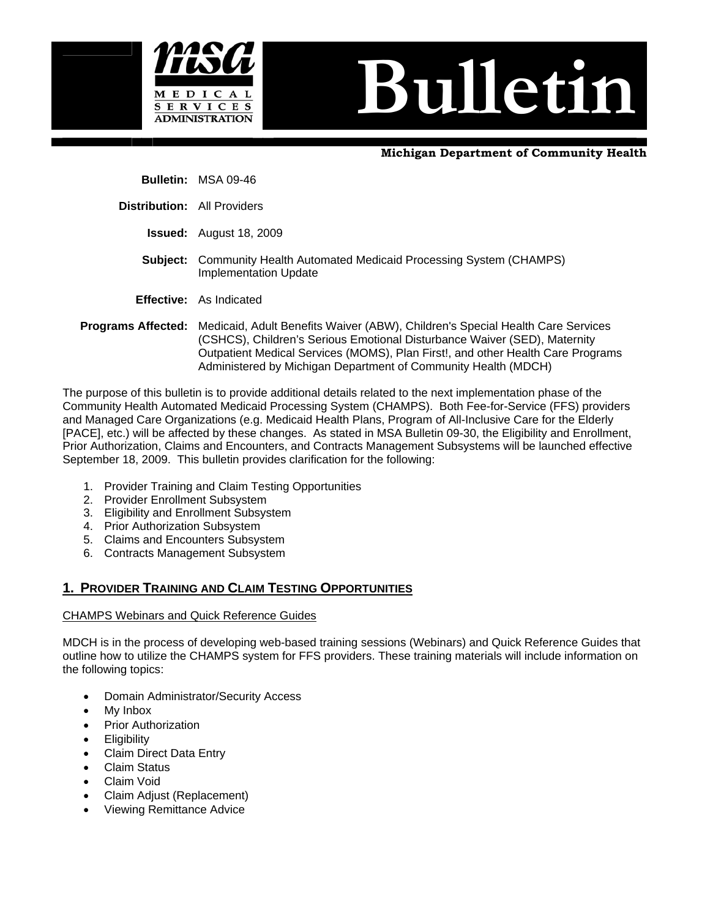



 **Bulletin:** MSA 09-46

 **Distribution:** All Providers

- **Issued:** August 18, 2009
- **Subject:** Community Health Automated Medicaid Processing System (CHAMPS) Implementation Update
- **Effective:** As Indicated
- **Programs Affected:** Medicaid, Adult Benefits Waiver (ABW), Children's Special Health Care Services (CSHCS), Children's Serious Emotional Disturbance Waiver (SED), Maternity Outpatient Medical Services (MOMS), Plan First!, and other Health Care Programs Administered by Michigan Department of Community Health (MDCH)

The purpose of this bulletin is to provide additional details related to the next implementation phase of the Community Health Automated Medicaid Processing System (CHAMPS). Both Fee-for-Service (FFS) providers and Managed Care Organizations (e.g. Medicaid Health Plans, Program of All-Inclusive Care for the Elderly [PACE], etc.) will be affected by these changes. As stated in MSA Bulletin 09-30, the Eligibility and Enrollment, Prior Authorization, Claims and Encounters, and Contracts Management Subsystems will be launched effective September 18, 2009. This bulletin provides clarification for the following:

- 1. Provider Training and Claim Testing Opportunities
- 2. Provider Enrollment Subsystem
- 3. Eligibility and Enrollment Subsystem
- 4. Prior Authorization Subsystem
- 5. Claims and Encounters Subsystem
- 6. Contracts Management Subsystem

### **1. PROVIDER TRAINING AND CLAIM TESTING OPPORTUNITIES**

### CHAMPS Webinars and Quick Reference Guides

MDCH is in the process of developing web-based training sessions (Webinars) and Quick Reference Guides that outline how to utilize the CHAMPS system for FFS providers. These training materials will include information on the following topics:

- Domain Administrator/Security Access
- My Inbox
- **Prior Authorization**
- **Eligibility**
- Claim Direct Data Entry
- Claim Status
- Claim Void
- Claim Adjust (Replacement)
- Viewing Remittance Advice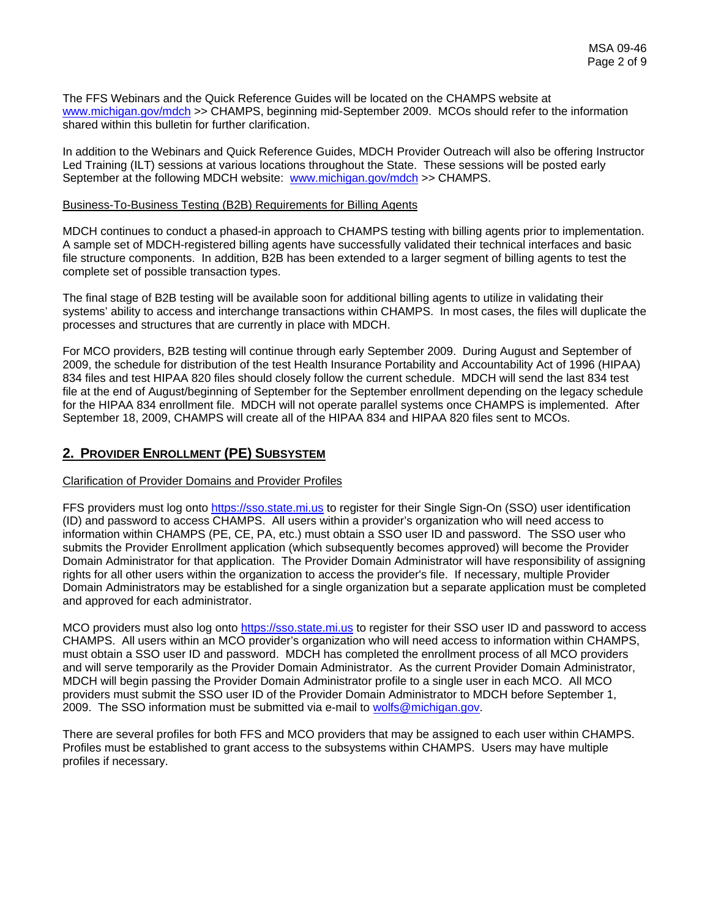The FFS Webinars and the Quick Reference Guides will be located on the CHAMPS website at [www.michigan.gov/mdch](http://www.michigan.gov/mdch) >> CHAMPS, beginning mid-September 2009. MCOs should refer to the information shared within this bulletin for further clarification.

In addition to the Webinars and Quick Reference Guides, MDCH Provider Outreach will also be offering Instructor Led Training (ILT) sessions at various locations throughout the State. These sessions will be posted early September at the following MDCH website: [www.michigan.gov/mdch](http://www.michigan.gov/mdch) >> CHAMPS.

#### Business-To-Business Testing (B2B) Requirements for Billing Agents

MDCH continues to conduct a phased-in approach to CHAMPS testing with billing agents prior to implementation. A sample set of MDCH-registered billing agents have successfully validated their technical interfaces and basic file structure components. In addition, B2B has been extended to a larger segment of billing agents to test the complete set of possible transaction types.

The final stage of B2B testing will be available soon for additional billing agents to utilize in validating their systems' ability to access and interchange transactions within CHAMPS. In most cases, the files will duplicate the processes and structures that are currently in place with MDCH.

For MCO providers, B2B testing will continue through early September 2009. During August and September of 2009, the schedule for distribution of the test Health Insurance Portability and Accountability Act of 1996 (HIPAA) 834 files and test HIPAA 820 files should closely follow the current schedule. MDCH will send the last 834 test file at the end of August/beginning of September for the September enrollment depending on the legacy schedule for the HIPAA 834 enrollment file. MDCH will not operate parallel systems once CHAMPS is implemented. After September 18, 2009, CHAMPS will create all of the HIPAA 834 and HIPAA 820 files sent to MCOs.

### **2. PROVIDER ENROLLMENT (PE) SUBSYSTEM**

#### Clarification of Provider Domains and Provider Profiles

FFS providers must log onto [https://sso.state.mi.us](https://sso.state.mi.us%20/) to register for their Single Sign-On (SSO) user identification (ID) and password to access CHAMPS. All users within a provider's organization who will need access to information within CHAMPS (PE, CE, PA, etc.) must obtain a SSO user ID and password. The SSO user who submits the Provider Enrollment application (which subsequently becomes approved) will become the Provider Domain Administrator for that application. The Provider Domain Administrator will have responsibility of assigning rights for all other users within the organization to access the provider's file. If necessary, multiple Provider Domain Administrators may be established for a single organization but a separate application must be completed and approved for each administrator.

MCO providers must also log onto [https://sso.state.mi.us](https://sso.state.mi.us/) to register for their SSO user ID and password to access CHAMPS. All users within an MCO provider's organization who will need access to information within CHAMPS, must obtain a SSO user ID and password. MDCH has completed the enrollment process of all MCO providers and will serve temporarily as the Provider Domain Administrator. As the current Provider Domain Administrator, MDCH will begin passing the Provider Domain Administrator profile to a single user in each MCO. All MCO providers must submit the SSO user ID of the Provider Domain Administrator to MDCH before September 1, 2009. The SSO information must be submitted via e-mail to [wolfs@michigan.gov.](mailto:wolfs@michigan.gov)

There are several profiles for both FFS and MCO providers that may be assigned to each user within CHAMPS. Profiles must be established to grant access to the subsystems within CHAMPS. Users may have multiple profiles if necessary.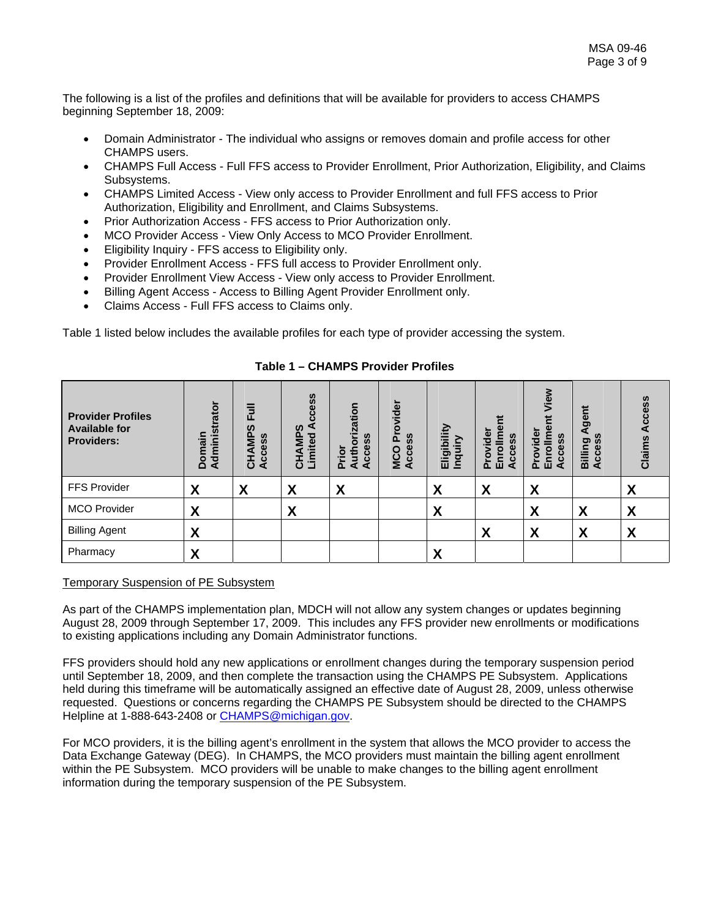The following is a list of the profiles and definitions that will be available for providers to access CHAMPS beginning September 18, 2009:

- Domain Administrator The individual who assigns or removes domain and profile access for other CHAMPS users.
- CHAMPS Full Access Full FFS access to Provider Enrollment, Prior Authorization, Eligibility, and Claims Subsystems.
- CHAMPS Limited Access View only access to Provider Enrollment and full FFS access to Prior Authorization, Eligibility and Enrollment, and Claims Subsystems.
- Prior Authorization Access FFS access to Prior Authorization only.
- MCO Provider Access View Only Access to MCO Provider Enrollment.
- Eligibility Inquiry FFS access to Eligibility only.
- Provider Enrollment Access FFS full access to Provider Enrollment only.
- Provider Enrollment View Access View only access to Provider Enrollment.
- Billing Agent Access Access to Billing Agent Provider Enrollment only.
- Claims Access Full FFS access to Claims only.

Table 1 listed below includes the available profiles for each type of provider accessing the system.

| <b>Provider Profiles</b><br><b>Available for</b><br><b>Providers:</b> | trator<br>Adminis<br>Domain | 言<br>ທ<br>o.<br>cess<br>Σ<br>⋖<br>ت<br>4<br>$\mathbf C$ | cess<br>ທ<br>ъ<br>Σ<br>mite<br>⋖<br>Ē<br>ō | rization<br><b>S</b><br>cces<br>Author<br>Prior<br>⋖ | ider<br><b>S</b><br>o<br>Φ<br>O<br>ō<br>Μ.<br>$\mathbf c$<br>∢ | igibility<br>믕<br>夁 | മ<br>dei<br>ပ္တ<br>∊<br>cce<br>o<br>ò<br>ē<br>⋖<br>ш<br>൨ | View<br>en<br>E<br>흥<br>SS<br>ပ္ပ<br>$\circ$<br>٥<br>٣<br>ပ<br>⋖<br>൨<br>ш | gent<br>m<br>Billing<br>ပ<br>◀ | Access<br>Claims |
|-----------------------------------------------------------------------|-----------------------------|---------------------------------------------------------|--------------------------------------------|------------------------------------------------------|----------------------------------------------------------------|---------------------|-----------------------------------------------------------|----------------------------------------------------------------------------|--------------------------------|------------------|
| <b>FFS Provider</b>                                                   | X                           | X                                                       | X                                          | X                                                    |                                                                | X                   | X                                                         | X                                                                          |                                | X                |
| <b>MCO Provider</b>                                                   | X                           |                                                         | X                                          |                                                      |                                                                | X                   |                                                           | X                                                                          | X                              | X                |
| <b>Billing Agent</b>                                                  | X                           |                                                         |                                            |                                                      |                                                                |                     | X                                                         | X                                                                          | X                              | X                |
| Pharmacy                                                              | X                           |                                                         |                                            |                                                      |                                                                | X                   |                                                           |                                                                            |                                |                  |

**Table 1 – CHAMPS Provider Profiles** 

#### Temporary Suspension of PE Subsystem

As part of the CHAMPS implementation plan, MDCH will not allow any system changes or updates beginning August 28, 2009 through September 17, 2009. This includes any FFS provider new enrollments or modifications to existing applications including any Domain Administrator functions.

FFS providers should hold any new applications or enrollment changes during the temporary suspension period until September 18, 2009, and then complete the transaction using the CHAMPS PE Subsystem. Applications held during this timeframe will be automatically assigned an effective date of August 28, 2009, unless otherwise requested. Questions or concerns regarding the CHAMPS PE Subsystem should be directed to the CHAMPS Helpline at 1-888-643-2408 or [CHAMPS@michigan.gov.](mailto:CHAMPS@michigan.gov)

For MCO providers, it is the billing agent's enrollment in the system that allows the MCO provider to access the Data Exchange Gateway (DEG). In CHAMPS, the MCO providers must maintain the billing agent enrollment within the PE Subsystem. MCO providers will be unable to make changes to the billing agent enrollment information during the temporary suspension of the PE Subsystem.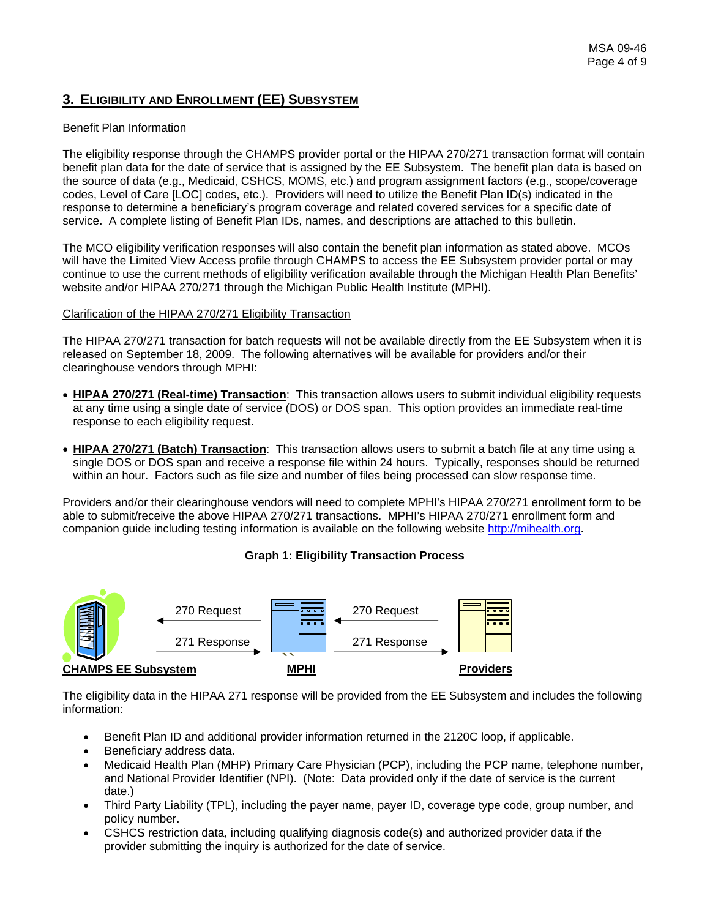# **3. ELIGIBILITY AND ENROLLMENT (EE) SUBSYSTEM**

### Benefit Plan Information

The eligibility response through the CHAMPS provider portal or the HIPAA 270/271 transaction format will contain benefit plan data for the date of service that is assigned by the EE Subsystem. The benefit plan data is based on the source of data (e.g., Medicaid, CSHCS, MOMS, etc.) and program assignment factors (e.g., scope/coverage codes, Level of Care [LOC] codes, etc.). Providers will need to utilize the Benefit Plan ID(s) indicated in the response to determine a beneficiary's program coverage and related covered services for a specific date of service. A complete listing of Benefit Plan IDs, names, and descriptions are attached to this bulletin.

The MCO eligibility verification responses will also contain the benefit plan information as stated above. MCOs will have the Limited View Access profile through CHAMPS to access the EE Subsystem provider portal or may continue to use the current methods of eligibility verification available through the Michigan Health Plan Benefits' website and/or HIPAA 270/271 through the Michigan Public Health Institute (MPHI).

#### Clarification of the HIPAA 270/271 Eligibility Transaction

The HIPAA 270/271 transaction for batch requests will not be available directly from the EE Subsystem when it is released on September 18, 2009. The following alternatives will be available for providers and/or their clearinghouse vendors through MPHI:

- **HIPAA 270/271 (Real-time) Transaction**: This transaction allows users to submit individual eligibility requests at any time using a single date of service (DOS) or DOS span. This option provides an immediate real-time response to each eligibility request.
- **HIPAA 270/271 (Batch) Transaction**: This transaction allows users to submit a batch file at any time using a single DOS or DOS span and receive a response file within 24 hours. Typically, responses should be returned within an hour. Factors such as file size and number of files being processed can slow response time.

Providers and/or their clearinghouse vendors will need to complete MPHI's HIPAA 270/271 enrollment form to be able to submit/receive the above HIPAA 270/271 transactions. MPHI's HIPAA 270/271 enrollment form and companion guide including testing information is available on the following website [http://mihealth.org.](http://mihealth.org/)

### **Graph 1: Eligibility Transaction Process**



The eligibility data in the HIPAA 271 response will be provided from the EE Subsystem and includes the following information:

- Benefit Plan ID and additional provider information returned in the 2120C loop, if applicable.
- Beneficiary address data.
- Medicaid Health Plan (MHP) Primary Care Physician (PCP), including the PCP name, telephone number, and National Provider Identifier (NPI). (Note: Data provided only if the date of service is the current date.)
- Third Party Liability (TPL), including the payer name, payer ID, coverage type code, group number, and policy number.
- CSHCS restriction data, including qualifying diagnosis code(s) and authorized provider data if the provider submitting the inquiry is authorized for the date of service.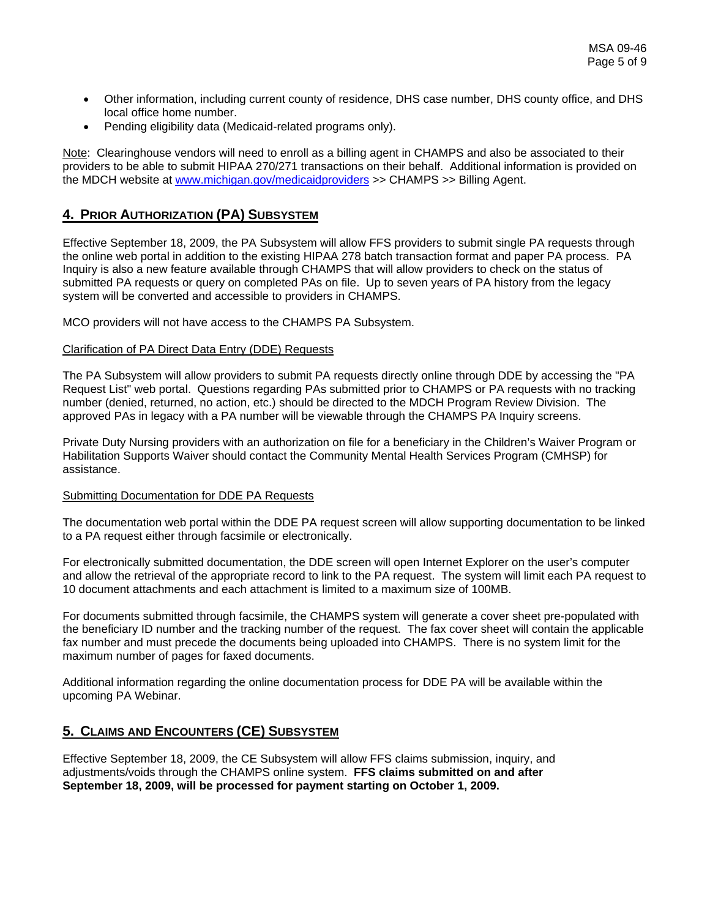- Other information, including current county of residence, DHS case number, DHS county office, and DHS local office home number.
- Pending eligibility data (Medicaid-related programs only).

Note: Clearinghouse vendors will need to enroll as a billing agent in CHAMPS and also be associated to their providers to be able to submit HIPAA 270/271 transactions on their behalf. Additional information is provided on the MDCH website at [www.michigan.gov/medicaidproviders](http://www.michigan.gov/medicaidproviders) >> CHAMPS >> Billing Agent.

## **4. PRIOR AUTHORIZATION (PA) SUBSYSTEM**

Effective September 18, 2009, the PA Subsystem will allow FFS providers to submit single PA requests through the online web portal in addition to the existing HIPAA 278 batch transaction format and paper PA process. PA Inquiry is also a new feature available through CHAMPS that will allow providers to check on the status of submitted PA requests or query on completed PAs on file. Up to seven years of PA history from the legacy system will be converted and accessible to providers in CHAMPS.

MCO providers will not have access to the CHAMPS PA Subsystem.

#### Clarification of PA Direct Data Entry (DDE) Requests

The PA Subsystem will allow providers to submit PA requests directly online through DDE by accessing the "PA Request List" web portal. Questions regarding PAs submitted prior to CHAMPS or PA requests with no tracking number (denied, returned, no action, etc.) should be directed to the MDCH Program Review Division. The approved PAs in legacy with a PA number will be viewable through the CHAMPS PA Inquiry screens.

Private Duty Nursing providers with an authorization on file for a beneficiary in the Children's Waiver Program or Habilitation Supports Waiver should contact the Community Mental Health Services Program (CMHSP) for assistance.

#### Submitting Documentation for DDE PA Requests

The documentation web portal within the DDE PA request screen will allow supporting documentation to be linked to a PA request either through facsimile or electronically.

For electronically submitted documentation, the DDE screen will open Internet Explorer on the user's computer and allow the retrieval of the appropriate record to link to the PA request. The system will limit each PA request to 10 document attachments and each attachment is limited to a maximum size of 100MB.

For documents submitted through facsimile, the CHAMPS system will generate a cover sheet pre-populated with the beneficiary ID number and the tracking number of the request. The fax cover sheet will contain the applicable fax number and must precede the documents being uploaded into CHAMPS. There is no system limit for the maximum number of pages for faxed documents.

Additional information regarding the online documentation process for DDE PA will be available within the upcoming PA Webinar.

### **5. CLAIMS AND ENCOUNTERS (CE) SUBSYSTEM**

Effective September 18, 2009, the CE Subsystem will allow FFS claims submission, inquiry, and adjustments/voids through the CHAMPS online system. **FFS claims submitted on and after September 18, 2009, will be processed for payment starting on October 1, 2009.**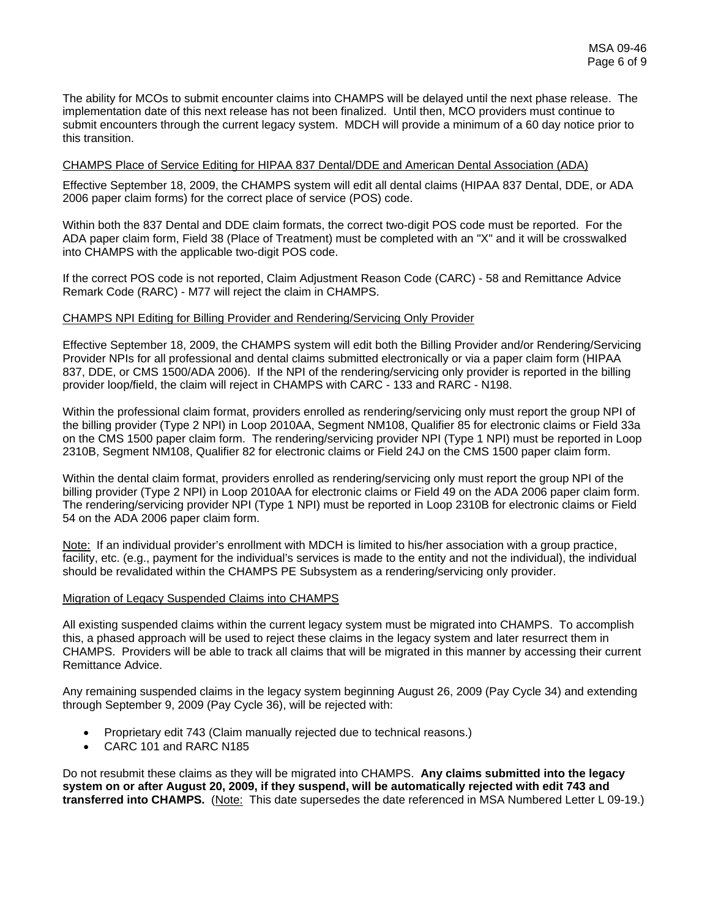The ability for MCOs to submit encounter claims into CHAMPS will be delayed until the next phase release. The implementation date of this next release has not been finalized. Until then, MCO providers must continue to submit encounters through the current legacy system. MDCH will provide a minimum of a 60 day notice prior to this transition.

#### CHAMPS Place of Service Editing for HIPAA 837 Dental/DDE and American Dental Association (ADA)

Effective September 18, 2009, the CHAMPS system will edit all dental claims (HIPAA 837 Dental, DDE, or ADA 2006 paper claim forms) for the correct place of service (POS) code.

Within both the 837 Dental and DDE claim formats, the correct two-digit POS code must be reported. For the ADA paper claim form, Field 38 (Place of Treatment) must be completed with an "X" and it will be crosswalked into CHAMPS with the applicable two-digit POS code.

If the correct POS code is not reported, Claim Adjustment Reason Code (CARC) - 58 and Remittance Advice Remark Code (RARC) - M77 will reject the claim in CHAMPS.

#### CHAMPS NPI Editing for Billing Provider and Rendering/Servicing Only Provider

Effective September 18, 2009, the CHAMPS system will edit both the Billing Provider and/or Rendering/Servicing Provider NPIs for all professional and dental claims submitted electronically or via a paper claim form (HIPAA 837, DDE, or CMS 1500/ADA 2006). If the NPI of the rendering/servicing only provider is reported in the billing provider loop/field, the claim will reject in CHAMPS with CARC - 133 and RARC - N198.

Within the professional claim format, providers enrolled as rendering/servicing only must report the group NPI of the billing provider (Type 2 NPI) in Loop 2010AA, Segment NM108, Qualifier 85 for electronic claims or Field 33a on the CMS 1500 paper claim form. The rendering/servicing provider NPI (Type 1 NPI) must be reported in Loop 2310B, Segment NM108, Qualifier 82 for electronic claims or Field 24J on the CMS 1500 paper claim form.

Within the dental claim format, providers enrolled as rendering/servicing only must report the group NPI of the billing provider (Type 2 NPI) in Loop 2010AA for electronic claims or Field 49 on the ADA 2006 paper claim form. The rendering/servicing provider NPI (Type 1 NPI) must be reported in Loop 2310B for electronic claims or Field 54 on the ADA 2006 paper claim form.

Note: If an individual provider's enrollment with MDCH is limited to his/her association with a group practice, facility, etc. (e.g., payment for the individual's services is made to the entity and not the individual), the individual should be revalidated within the CHAMPS PE Subsystem as a rendering/servicing only provider.

#### Migration of Legacy Suspended Claims into CHAMPS

All existing suspended claims within the current legacy system must be migrated into CHAMPS. To accomplish this, a phased approach will be used to reject these claims in the legacy system and later resurrect them in CHAMPS. Providers will be able to track all claims that will be migrated in this manner by accessing their current Remittance Advice.

Any remaining suspended claims in the legacy system beginning August 26, 2009 (Pay Cycle 34) and extending through September 9, 2009 (Pay Cycle 36), will be rejected with:

- Proprietary edit 743 (Claim manually rejected due to technical reasons.)
- CARC 101 and RARC N185

Do not resubmit these claims as they will be migrated into CHAMPS. **Any claims submitted into the legacy system on or after August 20, 2009, if they suspend, will be automatically rejected with edit 743 and transferred into CHAMPS.** (Note: This date supersedes the date referenced in MSA Numbered Letter L 09-19.)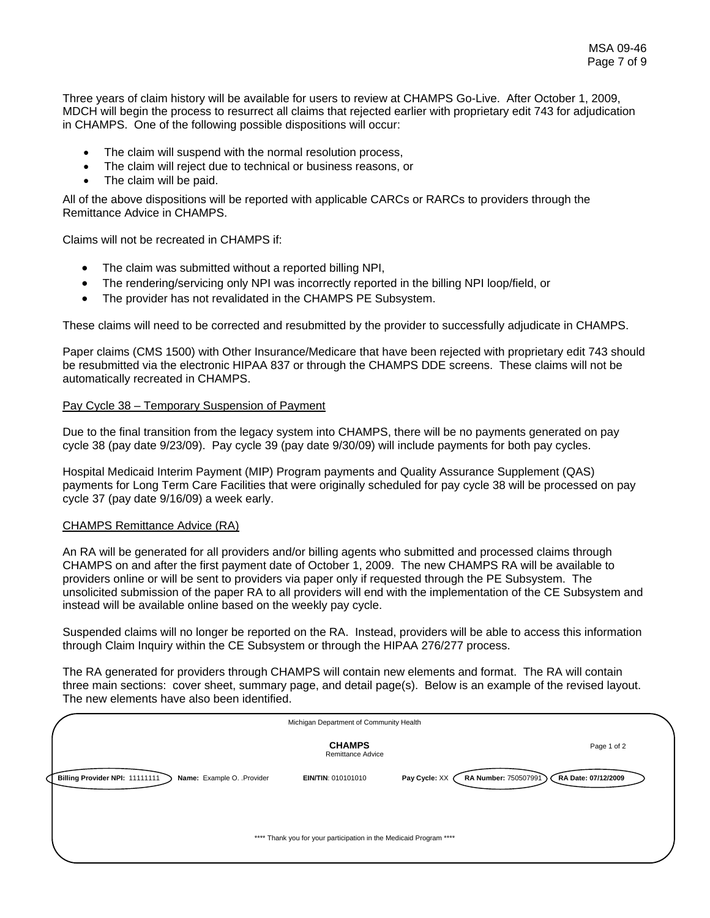Three years of claim history will be available for users to review at CHAMPS Go-Live. After October 1, 2009, MDCH will begin the process to resurrect all claims that rejected earlier with proprietary edit 743 for adjudication in CHAMPS. One of the following possible dispositions will occur:

- The claim will suspend with the normal resolution process,
- The claim will reject due to technical or business reasons, or
- The claim will be paid.

All of the above dispositions will be reported with applicable CARCs or RARCs to providers through the Remittance Advice in CHAMPS.

Claims will not be recreated in CHAMPS if:

- The claim was submitted without a reported billing NPI,
- The rendering/servicing only NPI was incorrectly reported in the billing NPI loop/field, or
- The provider has not revalidated in the CHAMPS PE Subsystem.

These claims will need to be corrected and resubmitted by the provider to successfully adjudicate in CHAMPS.

Paper claims (CMS 1500) with Other Insurance/Medicare that have been rejected with proprietary edit 743 should be resubmitted via the electronic HIPAA 837 or through the CHAMPS DDE screens. These claims will not be automatically recreated in CHAMPS.

#### Pay Cycle 38 – Temporary Suspension of Payment

Due to the final transition from the legacy system into CHAMPS, there will be no payments generated on pay cycle 38 (pay date 9/23/09). Pay cycle 39 (pay date 9/30/09) will include payments for both pay cycles.

Hospital Medicaid Interim Payment (MIP) Program payments and Quality Assurance Supplement (QAS) payments for Long Term Care Facilities that were originally scheduled for pay cycle 38 will be processed on pay cycle 37 (pay date 9/16/09) a week early.

#### CHAMPS Remittance Advice (RA)

An RA will be generated for all providers and/or billing agents who submitted and processed claims through CHAMPS on and after the first payment date of October 1, 2009. The new CHAMPS RA will be available to providers online or will be sent to providers via paper only if requested through the PE Subsystem. The unsolicited submission of the paper RA to all providers will end with the implementation of the CE Subsystem and instead will be available online based on the weekly pay cycle.

Suspended claims will no longer be reported on the RA. Instead, providers will be able to access this information through Claim Inquiry within the CE Subsystem or through the HIPAA 276/277 process.

The RA generated for providers through CHAMPS will contain new elements and format. The RA will contain three main sections: cover sheet, summary page, and detail page(s). Below is an example of the revised layout. The new elements have also been identified.

| Michigan Department of Community Health                                                                                                                    |  |  |  |  |  |  |
|------------------------------------------------------------------------------------------------------------------------------------------------------------|--|--|--|--|--|--|
| <b>CHAMPS</b><br>Page 1 of 2<br>Remittance Advice                                                                                                          |  |  |  |  |  |  |
| RA Number: 750507991<br>Billing Provider NPI: 11111111<br>RA Date: 07/12/2009<br>Name: Example O. . Provider<br>Pay Cycle: XX<br><b>EIN/TIN: 010101010</b> |  |  |  |  |  |  |
| **** Thank you for your participation in the Medicaid Program ****                                                                                         |  |  |  |  |  |  |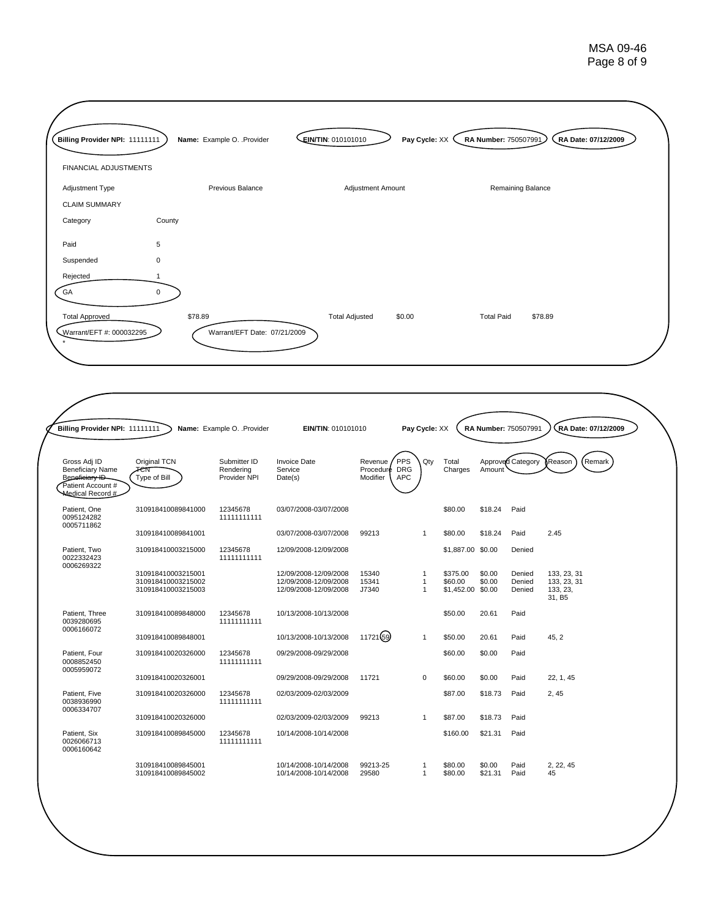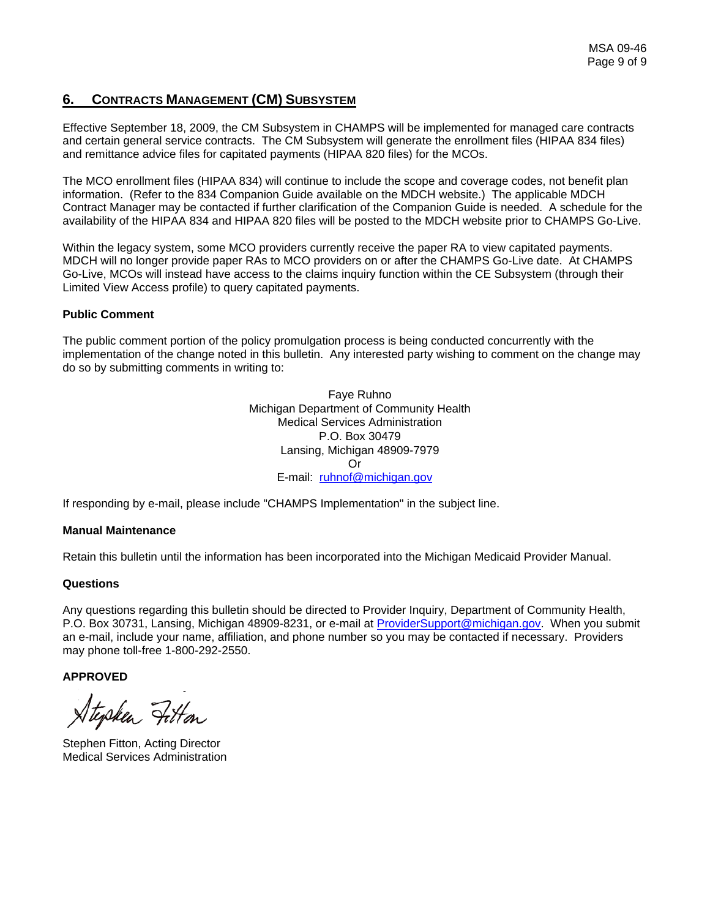## **6. CONTRACTS MANAGEMENT (CM) SUBSYSTEM**

Effective September 18, 2009, the CM Subsystem in CHAMPS will be implemented for managed care contracts and certain general service contracts. The CM Subsystem will generate the enrollment files (HIPAA 834 files) and remittance advice files for capitated payments (HIPAA 820 files) for the MCOs.

The MCO enrollment files (HIPAA 834) will continue to include the scope and coverage codes, not benefit plan information. (Refer to the 834 Companion Guide available on the MDCH website.) The applicable MDCH Contract Manager may be contacted if further clarification of the Companion Guide is needed. A schedule for the availability of the HIPAA 834 and HIPAA 820 files will be posted to the MDCH website prior to CHAMPS Go-Live.

Within the legacy system, some MCO providers currently receive the paper RA to view capitated payments. MDCH will no longer provide paper RAs to MCO providers on or after the CHAMPS Go-Live date. At CHAMPS Go-Live, MCOs will instead have access to the claims inquiry function within the CE Subsystem (through their Limited View Access profile) to query capitated payments.

#### **Public Comment**

The public comment portion of the policy promulgation process is being conducted concurrently with the implementation of the change noted in this bulletin. Any interested party wishing to comment on the change may do so by submitting comments in writing to:

> Faye Ruhno Michigan Department of Community Health Medical Services Administration P.O. Box 30479 Lansing, Michigan 48909-7979 Or E-mail: [ruhnof@michigan.gov](mailto:ruhnof@michigan.gov)

If responding by e-mail, please include "CHAMPS Implementation" in the subject line.

#### **Manual Maintenance**

Retain this bulletin until the information has been incorporated into the Michigan Medicaid Provider Manual.

#### **Questions**

Any questions regarding this bulletin should be directed to Provider Inquiry, Department of Community Health, P.O. Box 30731, Lansing, Michigan 48909-8231, or e-mail at [ProviderSupport@michigan.gov.](mailto:ProviderSupport@michigan.gov) When you submit an e-mail, include your name, affiliation, and phone number so you may be contacted if necessary. Providers may phone toll-free 1-800-292-2550.

**APPROVED** 

Stysken Fitton

Stephen Fitton, Acting Director Medical Services Administration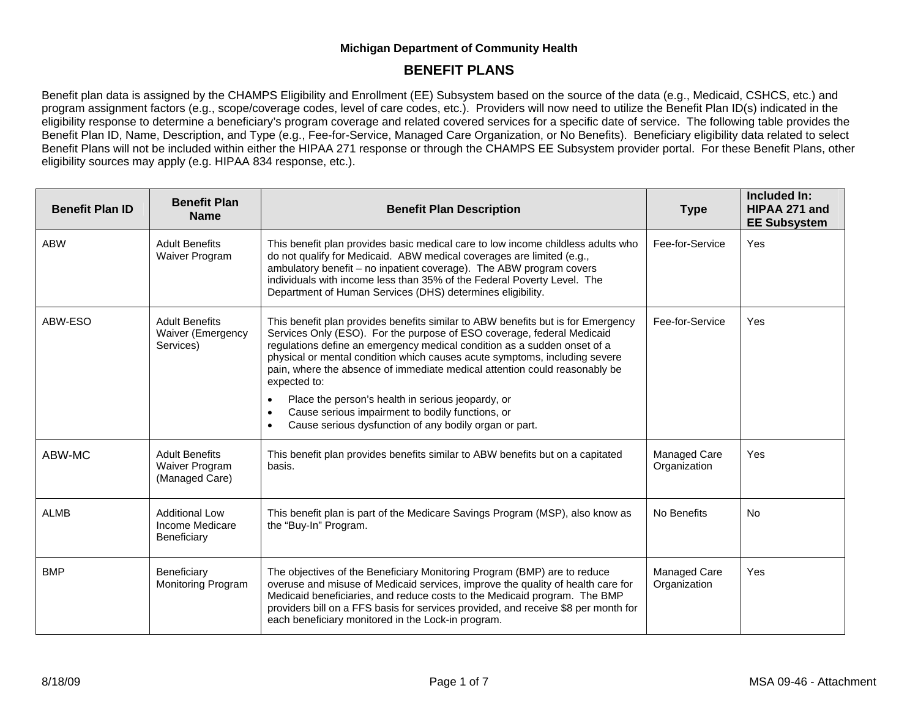## **BENEFIT PLANS**

Benefit plan data is assigned by the CHAMPS Eligibility and Enrollment (EE) Subsystem based on the source of the data (e.g., Medicaid, CSHCS, etc.) and program assignment factors (e.g., scope/coverage codes, level of care codes, etc.). Providers will now need to utilize the Benefit Plan ID(s) indicated in the eligibility response to determine a beneficiary's program coverage and related covered services for a specific date of service. The following table provides the Benefit Plan ID, Name, Description, and Type (e.g., Fee-for-Service, Managed Care Organization, or No Benefits). Beneficiary eligibility data related to select Benefit Plans will not be included within either the HIPAA 271 response or through the CHAMPS EE Subsystem provider portal. For these Benefit Plans, other eligibility sources may apply (e.g. HIPAA 834 response, etc.).

| <b>Benefit Plan ID</b> | <b>Benefit Plan</b><br><b>Name</b>                             | <b>Benefit Plan Description</b>                                                                                                                                                                                                                                                                                                                                                                                                                                                                                                                                                                                              | <b>Type</b>                  | Included In:<br>HIPAA 271 and<br><b>EE Subsystem</b> |
|------------------------|----------------------------------------------------------------|------------------------------------------------------------------------------------------------------------------------------------------------------------------------------------------------------------------------------------------------------------------------------------------------------------------------------------------------------------------------------------------------------------------------------------------------------------------------------------------------------------------------------------------------------------------------------------------------------------------------------|------------------------------|------------------------------------------------------|
| <b>ABW</b>             | <b>Adult Benefits</b><br>Waiver Program                        | This benefit plan provides basic medical care to low income childless adults who<br>do not qualify for Medicaid. ABW medical coverages are limited (e.g.,<br>ambulatory benefit - no inpatient coverage). The ABW program covers<br>individuals with income less than 35% of the Federal Poverty Level. The<br>Department of Human Services (DHS) determines eligibility.                                                                                                                                                                                                                                                    | Fee-for-Service              | Yes                                                  |
| ABW-ESO                | <b>Adult Benefits</b><br><b>Waiver (Emergency</b><br>Services) | This benefit plan provides benefits similar to ABW benefits but is for Emergency<br>Services Only (ESO). For the purpose of ESO coverage, federal Medicaid<br>regulations define an emergency medical condition as a sudden onset of a<br>physical or mental condition which causes acute symptoms, including severe<br>pain, where the absence of immediate medical attention could reasonably be<br>expected to:<br>Place the person's health in serious jeopardy, or<br>$\bullet$<br>Cause serious impairment to bodily functions, or<br>$\bullet$<br>Cause serious dysfunction of any bodily organ or part.<br>$\bullet$ | Fee-for-Service              | Yes                                                  |
| ABW-MC                 | <b>Adult Benefits</b><br>Waiver Program<br>(Managed Care)      | This benefit plan provides benefits similar to ABW benefits but on a capitated<br>basis.                                                                                                                                                                                                                                                                                                                                                                                                                                                                                                                                     | Managed Care<br>Organization | Yes                                                  |
| <b>ALMB</b>            | <b>Additional Low</b><br>Income Medicare<br>Beneficiary        | This benefit plan is part of the Medicare Savings Program (MSP), also know as<br>the "Buy-In" Program.                                                                                                                                                                                                                                                                                                                                                                                                                                                                                                                       | No Benefits                  | No.                                                  |
| <b>BMP</b>             | Beneficiary<br><b>Monitoring Program</b>                       | The objectives of the Beneficiary Monitoring Program (BMP) are to reduce<br>overuse and misuse of Medicaid services, improve the quality of health care for<br>Medicaid beneficiaries, and reduce costs to the Medicaid program. The BMP<br>providers bill on a FFS basis for services provided, and receive \$8 per month for<br>each beneficiary monitored in the Lock-in program.                                                                                                                                                                                                                                         | Managed Care<br>Organization | Yes                                                  |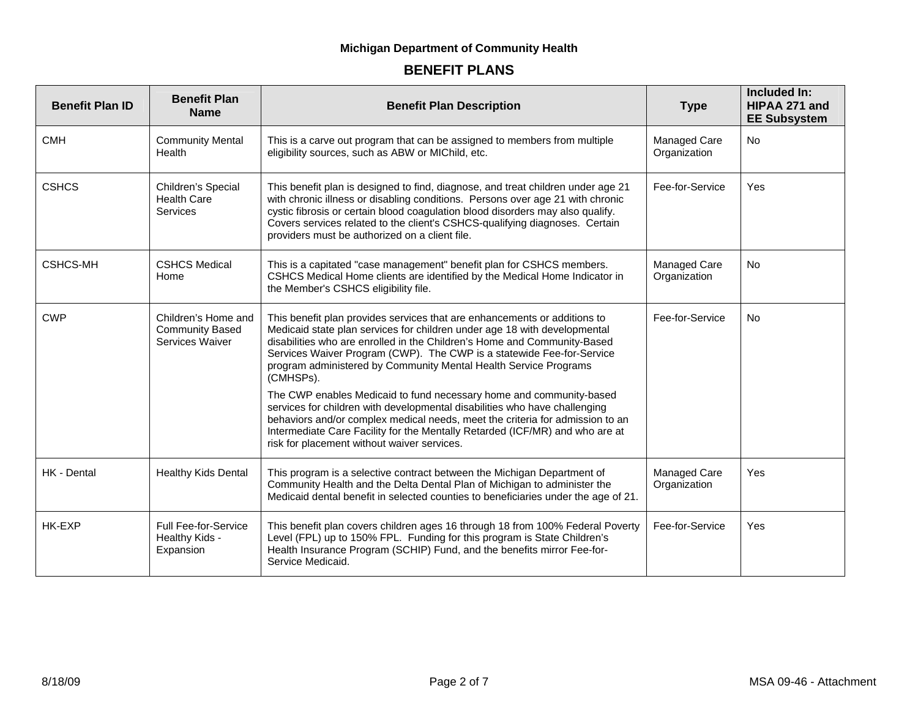| <b>Benefit Plan ID</b> | <b>Benefit Plan</b><br><b>Name</b>                               | <b>Benefit Plan Description</b>                                                                                                                                                                                                                                                                                                                                                              | <b>Type</b>                  | Included In:<br>HIPAA 271 and<br><b>EE Subsystem</b> |
|------------------------|------------------------------------------------------------------|----------------------------------------------------------------------------------------------------------------------------------------------------------------------------------------------------------------------------------------------------------------------------------------------------------------------------------------------------------------------------------------------|------------------------------|------------------------------------------------------|
| <b>CMH</b>             | <b>Community Mental</b><br>Health                                | This is a carve out program that can be assigned to members from multiple<br>eligibility sources, such as ABW or MIChild, etc.                                                                                                                                                                                                                                                               | Managed Care<br>Organization | <b>No</b>                                            |
| <b>CSHCS</b>           | Children's Special<br><b>Health Care</b><br><b>Services</b>      | This benefit plan is designed to find, diagnose, and treat children under age 21<br>with chronic illness or disabling conditions. Persons over age 21 with chronic<br>cystic fibrosis or certain blood coagulation blood disorders may also qualify.<br>Covers services related to the client's CSHCS-qualifying diagnoses. Certain<br>providers must be authorized on a client file.        | Fee-for-Service              | Yes                                                  |
| <b>CSHCS-MH</b>        | <b>CSHCS Medical</b><br>Home                                     | This is a capitated "case management" benefit plan for CSHCS members.<br>CSHCS Medical Home clients are identified by the Medical Home Indicator in<br>the Member's CSHCS eligibility file.                                                                                                                                                                                                  | Managed Care<br>Organization | <b>No</b>                                            |
| <b>CWP</b>             | Children's Home and<br><b>Community Based</b><br>Services Waiver | This benefit plan provides services that are enhancements or additions to<br>Medicaid state plan services for children under age 18 with developmental<br>disabilities who are enrolled in the Children's Home and Community-Based<br>Services Waiver Program (CWP). The CWP is a statewide Fee-for-Service<br>program administered by Community Mental Health Service Programs<br>(CMHSPs). | Fee-for-Service              | <b>No</b>                                            |
|                        |                                                                  | The CWP enables Medicaid to fund necessary home and community-based<br>services for children with developmental disabilities who have challenging<br>behaviors and/or complex medical needs, meet the criteria for admission to an<br>Intermediate Care Facility for the Mentally Retarded (ICF/MR) and who are at<br>risk for placement without waiver services.                            |                              |                                                      |
| HK - Dental            | <b>Healthy Kids Dental</b>                                       | This program is a selective contract between the Michigan Department of<br>Community Health and the Delta Dental Plan of Michigan to administer the<br>Medicaid dental benefit in selected counties to beneficiaries under the age of 21.                                                                                                                                                    | Managed Care<br>Organization | Yes                                                  |
| HK-EXP                 | Full Fee-for-Service<br>Healthy Kids -<br>Expansion              | This benefit plan covers children ages 16 through 18 from 100% Federal Poverty<br>Level (FPL) up to 150% FPL. Funding for this program is State Children's<br>Health Insurance Program (SCHIP) Fund, and the benefits mirror Fee-for-<br>Service Medicaid.                                                                                                                                   | Fee-for-Service              | Yes                                                  |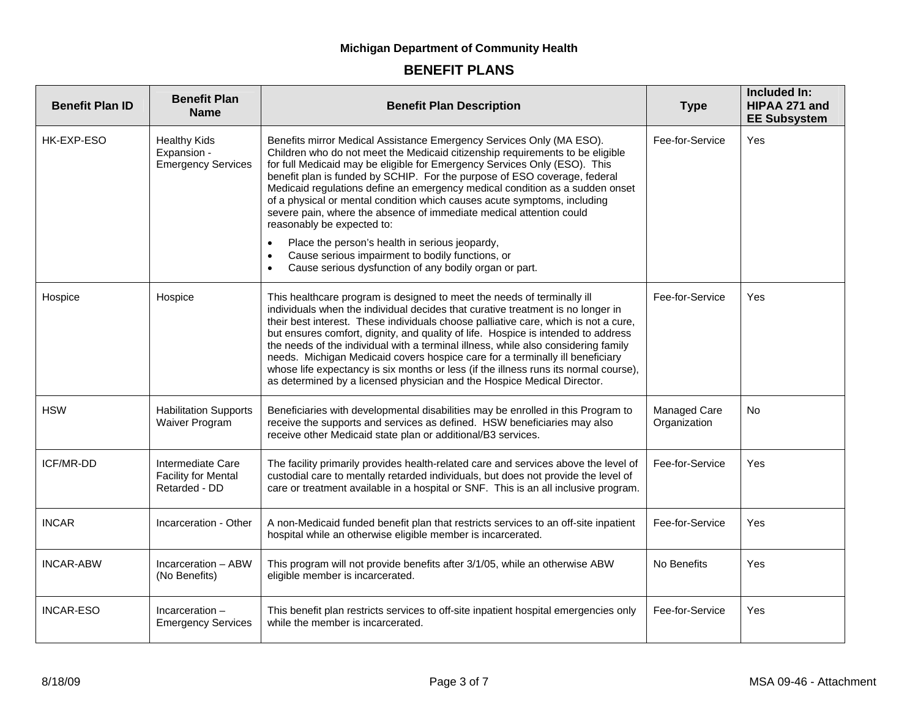| <b>Benefit Plan ID</b> | <b>Benefit Plan</b><br><b>Name</b>                               | <b>Benefit Plan Description</b>                                                                                                                                                                                                                                                                                                                                                                                                                                                                                                                                                                                                                                                                                                                                                         | <b>Type</b>                  | Included In:<br>HIPAA 271 and<br><b>EE Subsystem</b> |
|------------------------|------------------------------------------------------------------|-----------------------------------------------------------------------------------------------------------------------------------------------------------------------------------------------------------------------------------------------------------------------------------------------------------------------------------------------------------------------------------------------------------------------------------------------------------------------------------------------------------------------------------------------------------------------------------------------------------------------------------------------------------------------------------------------------------------------------------------------------------------------------------------|------------------------------|------------------------------------------------------|
| HK-EXP-ESO             | <b>Healthy Kids</b><br>Expansion -<br><b>Emergency Services</b>  | Benefits mirror Medical Assistance Emergency Services Only (MA ESO).<br>Children who do not meet the Medicaid citizenship requirements to be eligible<br>for full Medicaid may be eligible for Emergency Services Only (ESO). This<br>benefit plan is funded by SCHIP. For the purpose of ESO coverage, federal<br>Medicaid regulations define an emergency medical condition as a sudden onset<br>of a physical or mental condition which causes acute symptoms, including<br>severe pain, where the absence of immediate medical attention could<br>reasonably be expected to:<br>Place the person's health in serious jeopardy,<br>$\bullet$<br>Cause serious impairment to bodily functions, or<br>$\bullet$<br>Cause serious dysfunction of any bodily organ or part.<br>$\bullet$ | Fee-for-Service              | Yes                                                  |
| Hospice                | Hospice                                                          | This healthcare program is designed to meet the needs of terminally ill<br>individuals when the individual decides that curative treatment is no longer in<br>their best interest. These individuals choose palliative care, which is not a cure,<br>but ensures comfort, dignity, and quality of life. Hospice is intended to address<br>the needs of the individual with a terminal illness, while also considering family<br>needs. Michigan Medicaid covers hospice care for a terminally ill beneficiary<br>whose life expectancy is six months or less (if the illness runs its normal course),<br>as determined by a licensed physician and the Hospice Medical Director.                                                                                                        | Fee-for-Service              | Yes                                                  |
| <b>HSW</b>             | <b>Habilitation Supports</b><br>Waiver Program                   | Beneficiaries with developmental disabilities may be enrolled in this Program to<br>receive the supports and services as defined. HSW beneficiaries may also<br>receive other Medicaid state plan or additional/B3 services.                                                                                                                                                                                                                                                                                                                                                                                                                                                                                                                                                            | Managed Care<br>Organization | <b>No</b>                                            |
| ICF/MR-DD              | Intermediate Care<br><b>Facility for Mental</b><br>Retarded - DD | The facility primarily provides health-related care and services above the level of<br>custodial care to mentally retarded individuals, but does not provide the level of<br>care or treatment available in a hospital or SNF. This is an all inclusive program.                                                                                                                                                                                                                                                                                                                                                                                                                                                                                                                        | Fee-for-Service              | Yes                                                  |
| <b>INCAR</b>           | Incarceration - Other                                            | A non-Medicaid funded benefit plan that restricts services to an off-site inpatient<br>hospital while an otherwise eligible member is incarcerated.                                                                                                                                                                                                                                                                                                                                                                                                                                                                                                                                                                                                                                     | Fee-for-Service              | Yes                                                  |
| <b>INCAR-ABW</b>       | Incarceration - ABW<br>(No Benefits)                             | This program will not provide benefits after 3/1/05, while an otherwise ABW<br>eligible member is incarcerated.                                                                                                                                                                                                                                                                                                                                                                                                                                                                                                                                                                                                                                                                         | No Benefits                  | Yes                                                  |
| <b>INCAR-ESO</b>       | Incarceration $-$<br><b>Emergency Services</b>                   | This benefit plan restricts services to off-site inpatient hospital emergencies only<br>while the member is incarcerated.                                                                                                                                                                                                                                                                                                                                                                                                                                                                                                                                                                                                                                                               | Fee-for-Service              | Yes                                                  |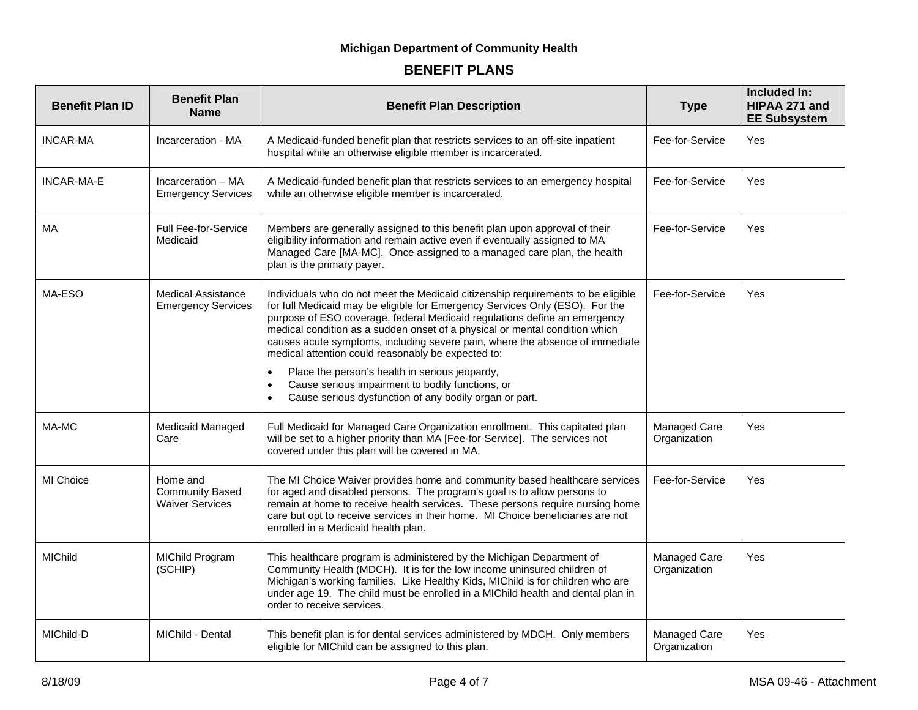| <b>Benefit Plan ID</b> | <b>Benefit Plan</b><br><b>Name</b>                           | <b>Benefit Plan Description</b>                                                                                                                                                                                                                                                                                                                                                                                                                                                                                                                                                                                                                              | <b>Type</b>                  | Included In:<br>HIPAA 271 and<br><b>EE Subsystem</b> |
|------------------------|--------------------------------------------------------------|--------------------------------------------------------------------------------------------------------------------------------------------------------------------------------------------------------------------------------------------------------------------------------------------------------------------------------------------------------------------------------------------------------------------------------------------------------------------------------------------------------------------------------------------------------------------------------------------------------------------------------------------------------------|------------------------------|------------------------------------------------------|
| <b>INCAR-MA</b>        | Incarceration - MA                                           | A Medicaid-funded benefit plan that restricts services to an off-site inpatient<br>hospital while an otherwise eligible member is incarcerated.                                                                                                                                                                                                                                                                                                                                                                                                                                                                                                              | Fee-for-Service              | Yes                                                  |
| <b>INCAR-MA-E</b>      | Incarceration - MA<br><b>Emergency Services</b>              | A Medicaid-funded benefit plan that restricts services to an emergency hospital<br>while an otherwise eligible member is incarcerated.                                                                                                                                                                                                                                                                                                                                                                                                                                                                                                                       | Fee-for-Service              | Yes                                                  |
| МA                     | <b>Full Fee-for-Service</b><br>Medicaid                      | Members are generally assigned to this benefit plan upon approval of their<br>eligibility information and remain active even if eventually assigned to MA<br>Managed Care [MA-MC]. Once assigned to a managed care plan, the health<br>plan is the primary payer.                                                                                                                                                                                                                                                                                                                                                                                            | Fee-for-Service              | Yes                                                  |
| MA-ESO                 | <b>Medical Assistance</b><br><b>Emergency Services</b>       | Individuals who do not meet the Medicaid citizenship requirements to be eligible<br>for full Medicaid may be eligible for Emergency Services Only (ESO). For the<br>purpose of ESO coverage, federal Medicaid regulations define an emergency<br>medical condition as a sudden onset of a physical or mental condition which<br>causes acute symptoms, including severe pain, where the absence of immediate<br>medical attention could reasonably be expected to:<br>Place the person's health in serious jeopardy,<br>$\bullet$<br>Cause serious impairment to bodily functions, or<br>Cause serious dysfunction of any bodily organ or part.<br>$\bullet$ | Fee-for-Service              | Yes                                                  |
| MA-MC                  | Medicaid Managed<br>Care                                     | Full Medicaid for Managed Care Organization enrollment. This capitated plan<br>will be set to a higher priority than MA [Fee-for-Service]. The services not<br>covered under this plan will be covered in MA.                                                                                                                                                                                                                                                                                                                                                                                                                                                | Managed Care<br>Organization | Yes                                                  |
| MI Choice              | Home and<br><b>Community Based</b><br><b>Waiver Services</b> | The MI Choice Waiver provides home and community based healthcare services<br>for aged and disabled persons. The program's goal is to allow persons to<br>remain at home to receive health services. These persons require nursing home<br>care but opt to receive services in their home. MI Choice beneficiaries are not<br>enrolled in a Medicaid health plan.                                                                                                                                                                                                                                                                                            | Fee-for-Service              | Yes                                                  |
| <b>MIChild</b>         | <b>MIChild Program</b><br>(SCHIP)                            | This healthcare program is administered by the Michigan Department of<br>Community Health (MDCH). It is for the low income uninsured children of<br>Michigan's working families. Like Healthy Kids, MIChild is for children who are<br>under age 19. The child must be enrolled in a MIChild health and dental plan in<br>order to receive services.                                                                                                                                                                                                                                                                                                         | Managed Care<br>Organization | Yes                                                  |
| MIChild-D              | MIChild - Dental                                             | This benefit plan is for dental services administered by MDCH. Only members<br>eligible for MIChild can be assigned to this plan.                                                                                                                                                                                                                                                                                                                                                                                                                                                                                                                            | Managed Care<br>Organization | Yes                                                  |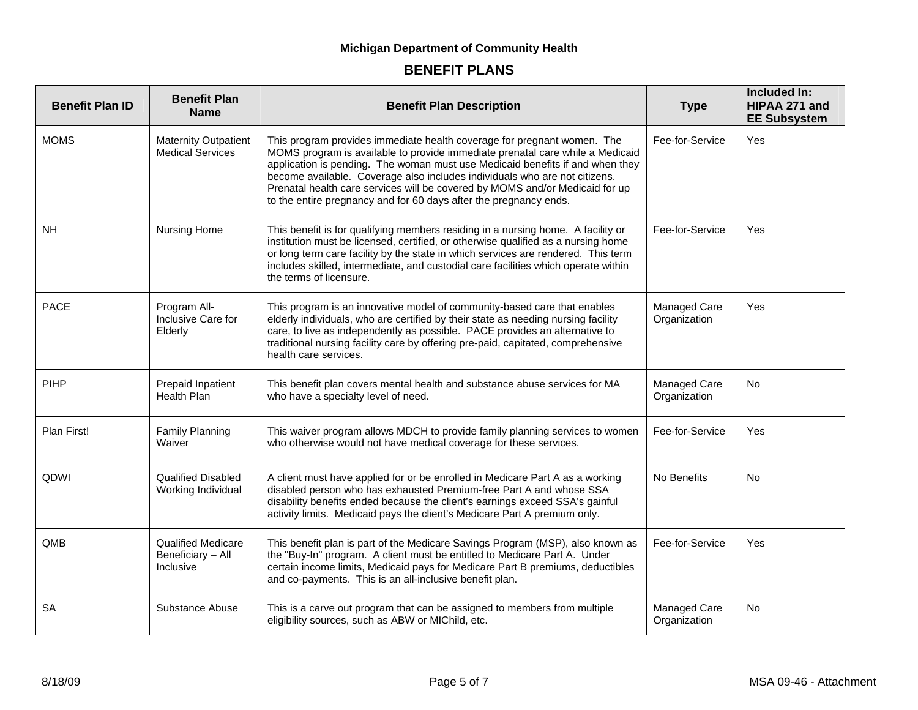| <b>Benefit Plan ID</b> | <b>Benefit Plan</b><br><b>Name</b>                          | <b>Benefit Plan Description</b>                                                                                                                                                                                                                                                                                                                                                                                                                                              | <b>Type</b>                  | Included In:<br>HIPAA 271 and<br><b>EE Subsystem</b> |
|------------------------|-------------------------------------------------------------|------------------------------------------------------------------------------------------------------------------------------------------------------------------------------------------------------------------------------------------------------------------------------------------------------------------------------------------------------------------------------------------------------------------------------------------------------------------------------|------------------------------|------------------------------------------------------|
| <b>MOMS</b>            | <b>Maternity Outpatient</b><br><b>Medical Services</b>      | This program provides immediate health coverage for pregnant women. The<br>MOMS program is available to provide immediate prenatal care while a Medicaid<br>application is pending. The woman must use Medicaid benefits if and when they<br>become available. Coverage also includes individuals who are not citizens.<br>Prenatal health care services will be covered by MOMS and/or Medicaid for up<br>to the entire pregnancy and for 60 days after the pregnancy ends. | Fee-for-Service              | Yes                                                  |
| NH.                    | Nursing Home                                                | This benefit is for qualifying members residing in a nursing home. A facility or<br>institution must be licensed, certified, or otherwise qualified as a nursing home<br>or long term care facility by the state in which services are rendered. This term<br>includes skilled, intermediate, and custodial care facilities which operate within<br>the terms of licensure.                                                                                                  | Fee-for-Service              | Yes                                                  |
| <b>PACE</b>            | Program All-<br>Inclusive Care for<br>Elderly               | This program is an innovative model of community-based care that enables<br>elderly individuals, who are certified by their state as needing nursing facility<br>care, to live as independently as possible. PACE provides an alternative to<br>traditional nursing facility care by offering pre-paid, capitated, comprehensive<br>health care services.                                                                                                                    | Managed Care<br>Organization | Yes                                                  |
| <b>PIHP</b>            | Prepaid Inpatient<br><b>Health Plan</b>                     | This benefit plan covers mental health and substance abuse services for MA<br>who have a specialty level of need.                                                                                                                                                                                                                                                                                                                                                            | Managed Care<br>Organization | <b>No</b>                                            |
| Plan First!            | <b>Family Planning</b><br>Waiver                            | This waiver program allows MDCH to provide family planning services to women<br>who otherwise would not have medical coverage for these services.                                                                                                                                                                                                                                                                                                                            | Fee-for-Service              | Yes                                                  |
| QDWI                   | <b>Qualified Disabled</b><br>Working Individual             | A client must have applied for or be enrolled in Medicare Part A as a working<br>disabled person who has exhausted Premium-free Part A and whose SSA<br>disability benefits ended because the client's earnings exceed SSA's gainful<br>activity limits. Medicaid pays the client's Medicare Part A premium only.                                                                                                                                                            | No Benefits                  | No                                                   |
| QMB                    | <b>Qualified Medicare</b><br>Beneficiary - All<br>Inclusive | This benefit plan is part of the Medicare Savings Program (MSP), also known as<br>the "Buy-In" program. A client must be entitled to Medicare Part A. Under<br>certain income limits, Medicaid pays for Medicare Part B premiums, deductibles<br>and co-payments. This is an all-inclusive benefit plan.                                                                                                                                                                     | Fee-for-Service              | Yes                                                  |
| <b>SA</b>              | Substance Abuse                                             | This is a carve out program that can be assigned to members from multiple<br>eligibility sources, such as ABW or MIChild, etc.                                                                                                                                                                                                                                                                                                                                               | Managed Care<br>Organization | No                                                   |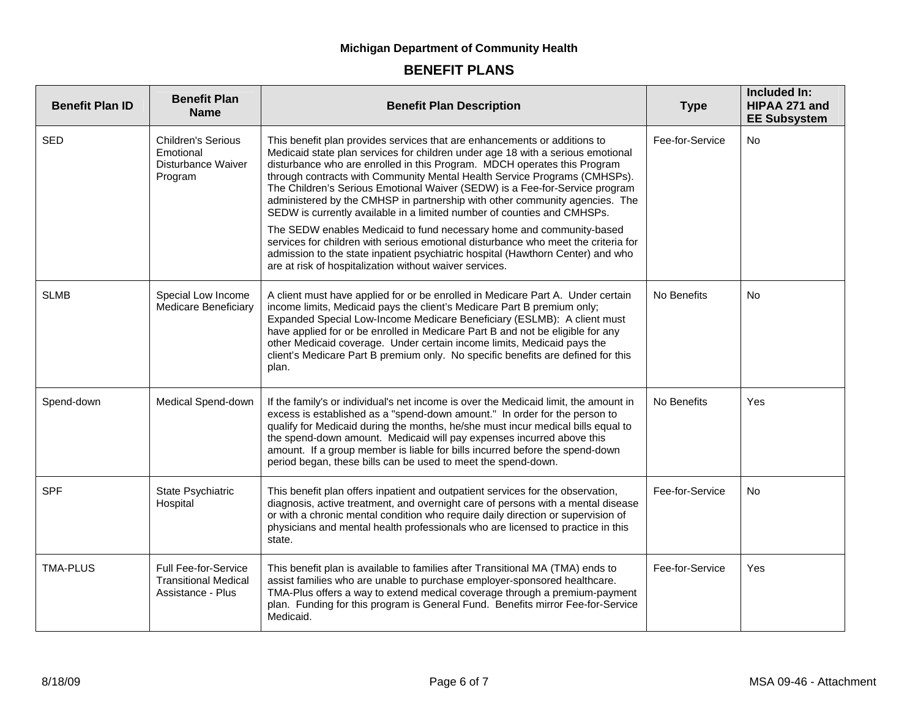| <b>Benefit Plan ID</b> | <b>Benefit Plan</b><br><b>Name</b>                                       | <b>Benefit Plan Description</b>                                                                                                                                                                                                                                                                                                                                                                                                                                                                                                                                                                                                                                                                                                                                                                                                                                            | <b>Type</b>     | Included In:<br>HIPAA 271 and<br><b>EE Subsystem</b> |
|------------------------|--------------------------------------------------------------------------|----------------------------------------------------------------------------------------------------------------------------------------------------------------------------------------------------------------------------------------------------------------------------------------------------------------------------------------------------------------------------------------------------------------------------------------------------------------------------------------------------------------------------------------------------------------------------------------------------------------------------------------------------------------------------------------------------------------------------------------------------------------------------------------------------------------------------------------------------------------------------|-----------------|------------------------------------------------------|
| <b>SED</b>             | <b>Children's Serious</b><br>Emotional<br>Disturbance Waiver<br>Program  | This benefit plan provides services that are enhancements or additions to<br>Medicaid state plan services for children under age 18 with a serious emotional<br>disturbance who are enrolled in this Program. MDCH operates this Program<br>through contracts with Community Mental Health Service Programs (CMHSPs).<br>The Children's Serious Emotional Waiver (SEDW) is a Fee-for-Service program<br>administered by the CMHSP in partnership with other community agencies. The<br>SEDW is currently available in a limited number of counties and CMHSPs.<br>The SEDW enables Medicaid to fund necessary home and community-based<br>services for children with serious emotional disturbance who meet the criteria for<br>admission to the state inpatient psychiatric hospital (Hawthorn Center) and who<br>are at risk of hospitalization without waiver services. | Fee-for-Service | <b>No</b>                                            |
| <b>SLMB</b>            | Special Low Income<br><b>Medicare Beneficiary</b>                        | A client must have applied for or be enrolled in Medicare Part A. Under certain<br>income limits, Medicaid pays the client's Medicare Part B premium only;<br>Expanded Special Low-Income Medicare Beneficiary (ESLMB): A client must<br>have applied for or be enrolled in Medicare Part B and not be eligible for any<br>other Medicaid coverage. Under certain income limits, Medicaid pays the<br>client's Medicare Part B premium only. No specific benefits are defined for this<br>plan.                                                                                                                                                                                                                                                                                                                                                                            | No Benefits     | <b>No</b>                                            |
| Spend-down             | Medical Spend-down                                                       | If the family's or individual's net income is over the Medicaid limit, the amount in<br>excess is established as a "spend-down amount." In order for the person to<br>qualify for Medicaid during the months, he/she must incur medical bills equal to<br>the spend-down amount. Medicaid will pay expenses incurred above this<br>amount. If a group member is liable for bills incurred before the spend-down<br>period began, these bills can be used to meet the spend-down.                                                                                                                                                                                                                                                                                                                                                                                           | No Benefits     | <b>Yes</b>                                           |
| <b>SPF</b>             | State Psychiatric<br>Hospital                                            | This benefit plan offers inpatient and outpatient services for the observation,<br>diagnosis, active treatment, and overnight care of persons with a mental disease<br>or with a chronic mental condition who require daily direction or supervision of<br>physicians and mental health professionals who are licensed to practice in this<br>state.                                                                                                                                                                                                                                                                                                                                                                                                                                                                                                                       | Fee-for-Service | No.                                                  |
| <b>TMA-PLUS</b>        | Full Fee-for-Service<br><b>Transitional Medical</b><br>Assistance - Plus | This benefit plan is available to families after Transitional MA (TMA) ends to<br>assist families who are unable to purchase employer-sponsored healthcare.<br>TMA-Plus offers a way to extend medical coverage through a premium-payment<br>plan. Funding for this program is General Fund. Benefits mirror Fee-for-Service<br>Medicaid.                                                                                                                                                                                                                                                                                                                                                                                                                                                                                                                                  | Fee-for-Service | Yes                                                  |